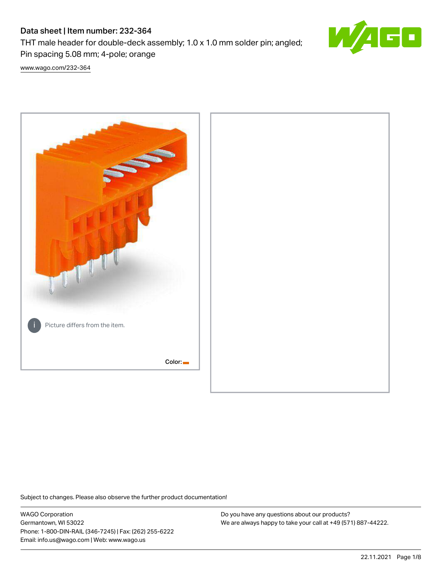# Data sheet | Item number: 232-364

Pin spacing 5.08 mm; 4-pole; orange

THT male header for double-deck assembly; 1.0 x 1.0 mm solder pin; angled;



[www.wago.com/232-364](http://www.wago.com/232-364)



Subject to changes. Please also observe the further product documentation!

WAGO Corporation Germantown, WI 53022 Phone: 1-800-DIN-RAIL (346-7245) | Fax: (262) 255-6222 Email: info.us@wago.com | Web: www.wago.us

Do you have any questions about our products? We are always happy to take your call at +49 (571) 887-44222.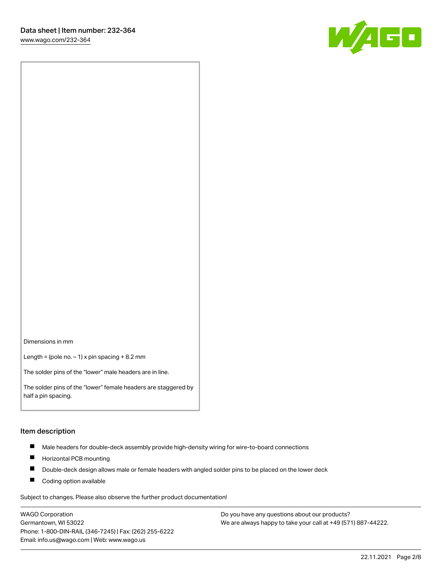W/160

Dimensions in mm

Length = (pole no.  $-1$ ) x pin spacing + 8.2 mm

The solder pins of the "lower" male headers are in line.

The solder pins of the "lower" female headers are staggered by half a pin spacing.

#### Item description

- $\blacksquare$ Male headers for double-deck assembly provide high-density wiring for wire-to-board connections
- $\blacksquare$ Horizontal PCB mounting
- $\blacksquare$ Double-deck design allows male or female headers with angled solder pins to be placed on the lower deck
- $\blacksquare$ Coding option available

Subject to changes. Please also observe the further product documentation!

WAGO Corporation Germantown, WI 53022 Phone: 1-800-DIN-RAIL (346-7245) | Fax: (262) 255-6222 Email: info.us@wago.com | Web: www.wago.us

Do you have any questions about our products? We are always happy to take your call at +49 (571) 887-44222.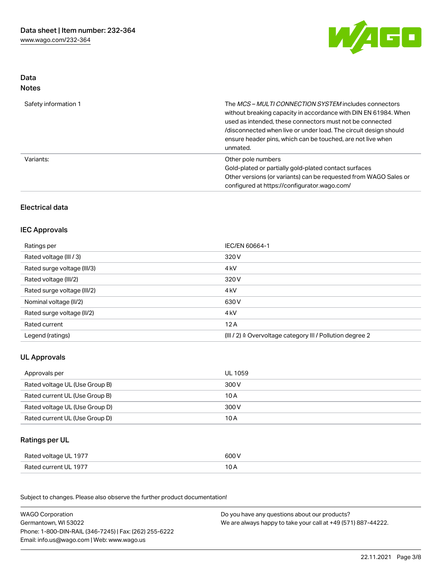

## Data Notes

| Safety information 1 | The MCS-MULTI CONNECTION SYSTEM includes connectors<br>without breaking capacity in accordance with DIN EN 61984. When<br>used as intended, these connectors must not be connected<br>/disconnected when live or under load. The circuit design should<br>ensure header pins, which can be touched, are not live when<br>unmated. |
|----------------------|-----------------------------------------------------------------------------------------------------------------------------------------------------------------------------------------------------------------------------------------------------------------------------------------------------------------------------------|
| Variants:            | Other pole numbers<br>Gold-plated or partially gold-plated contact surfaces<br>Other versions (or variants) can be requested from WAGO Sales or<br>configured at https://configurator.wago.com/                                                                                                                                   |

## Electrical data

## IEC Approvals

| Ratings per                 | IEC/EN 60664-1                                                        |
|-----------------------------|-----------------------------------------------------------------------|
| Rated voltage (III / 3)     | 320 V                                                                 |
| Rated surge voltage (III/3) | 4 <sub>k</sub> V                                                      |
| Rated voltage (III/2)       | 320 V                                                                 |
| Rated surge voltage (III/2) | 4 <sub>k</sub> V                                                      |
| Nominal voltage (II/2)      | 630 V                                                                 |
| Rated surge voltage (II/2)  | 4 <sub>k</sub> V                                                      |
| Rated current               | 12A                                                                   |
| Legend (ratings)            | $(III / 2)$ $\triangle$ Overvoltage category III / Pollution degree 2 |

# UL Approvals

| Approvals per                  | UL 1059 |
|--------------------------------|---------|
| Rated voltage UL (Use Group B) | 300 V   |
| Rated current UL (Use Group B) | 10 A    |
| Rated voltage UL (Use Group D) | 300 V   |
| Rated current UL (Use Group D) | 10 A    |

# Ratings per UL

| Rated voltage UL 1977 | 600 V          |
|-----------------------|----------------|
| Rated current UL 1977 | 1 O A<br>, U H |

Subject to changes. Please also observe the further product documentation!

| <b>WAGO Corporation</b>                                | Do you have any questions about our products?                 |
|--------------------------------------------------------|---------------------------------------------------------------|
| Germantown, WI 53022                                   | We are always happy to take your call at +49 (571) 887-44222. |
| Phone: 1-800-DIN-RAIL (346-7245)   Fax: (262) 255-6222 |                                                               |
| Email: info.us@wago.com   Web: www.wago.us             |                                                               |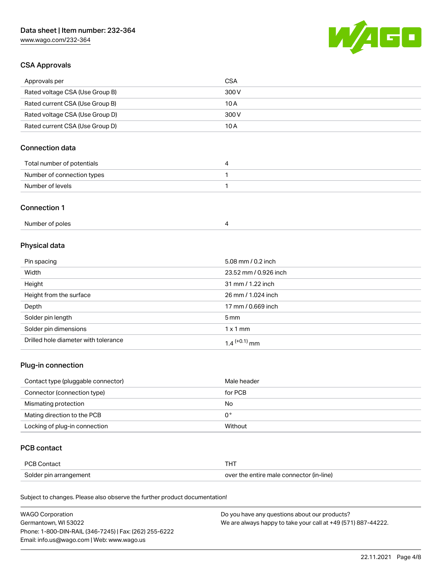# Data sheet | Item number: 232-364

[www.wago.com/232-364](http://www.wago.com/232-364)



## CSA Approvals

| Approvals per                   | CSA   |
|---------------------------------|-------|
| Rated voltage CSA (Use Group B) | 300 V |
| Rated current CSA (Use Group B) | 10 A  |
| Rated voltage CSA (Use Group D) | 300 V |
| Rated current CSA (Use Group D) | 10 A  |

## Connection data

| Total number of potentials |  |
|----------------------------|--|
| Number of connection types |  |
| Number of levels           |  |

#### Connection 1

| Number of poles |  |
|-----------------|--|
|-----------------|--|

# Physical data

| Pin spacing                          | 5.08 mm / 0.2 inch    |
|--------------------------------------|-----------------------|
| Width                                | 23.52 mm / 0.926 inch |
| Height                               | 31 mm / 1.22 inch     |
| Height from the surface              | 26 mm / 1.024 inch    |
| Depth                                | 17 mm / 0.669 inch    |
| Solder pin length                    | $5 \text{ mm}$        |
| Solder pin dimensions                | $1 \times 1$ mm       |
| Drilled hole diameter with tolerance | $1.4$ $(+0.1)$ mm     |

## Plug-in connection

| Contact type (pluggable connector) | Male header |
|------------------------------------|-------------|
| Connector (connection type)        | for PCB     |
| Mismating protection               | No          |
| Mating direction to the PCB        | 0°          |
| Locking of plug-in connection      | Without     |

## PCB contact

| PCB Contact            |                                          |
|------------------------|------------------------------------------|
| Solder pin arrangement | over the entire male connector (in-line) |

Subject to changes. Please also observe the further product documentation!

| <b>WAGO Corporation</b>                                | Do you have any questions about our products?                 |
|--------------------------------------------------------|---------------------------------------------------------------|
| Germantown, WI 53022                                   | We are always happy to take your call at +49 (571) 887-44222. |
| Phone: 1-800-DIN-RAIL (346-7245)   Fax: (262) 255-6222 |                                                               |
| Email: info.us@wago.com   Web: www.wago.us             |                                                               |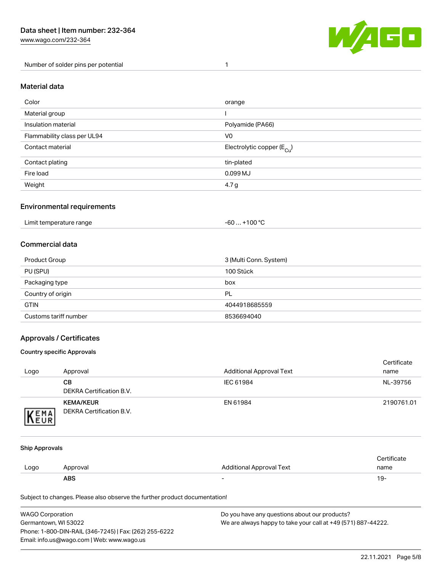Number of solder pins per potential 1



#### Material data

| Color                       | orange                                 |
|-----------------------------|----------------------------------------|
| Material group              |                                        |
| Insulation material         | Polyamide (PA66)                       |
| Flammability class per UL94 | V <sub>0</sub>                         |
| Contact material            | Electrolytic copper (E <sub>Cu</sub> ) |
| Contact plating             | tin-plated                             |
| Fire load                   | 0.099 MJ                               |
| Weight                      | 4.7 g                                  |

#### Environmental requirements

Limit temperature range  $-60... +100$  °C

#### Commercial data

| Product Group         | 3 (Multi Conn. System) |
|-----------------------|------------------------|
| PU (SPU)              | 100 Stück              |
| Packaging type        | box                    |
| Country of origin     | PL                     |
| <b>GTIN</b>           | 4044918685559          |
| Customs tariff number | 8536694040             |

## Approvals / Certificates

#### Country specific Approvals

| Logo                | Approval                                     | <b>Additional Approval Text</b> | Certificate<br>name |
|---------------------|----------------------------------------------|---------------------------------|---------------------|
|                     | CВ<br>DEKRA Certification B.V.               | IEC 61984                       | NL-39756            |
| <b>VEMA</b><br>NEUR | <b>KEMA/KEUR</b><br>DEKRA Certification B.V. | EN 61984                        | 2190761.01          |

#### Ship Approvals

|      | <b>ABS</b> | -                               | 19-         |
|------|------------|---------------------------------|-------------|
| Logo | Approval   | <b>Additional Approval Text</b> | name        |
|      |            |                                 | ertificate. |

Subject to changes. Please also observe the further product documentation!

| WAGO Corporation                                       | Do you have any questions about our products?                 |
|--------------------------------------------------------|---------------------------------------------------------------|
| Germantown, WI 53022                                   | We are always happy to take your call at +49 (571) 887-44222. |
| Phone: 1-800-DIN-RAIL (346-7245)   Fax: (262) 255-6222 |                                                               |
| Email: info.us@wago.com   Web: www.wago.us             |                                                               |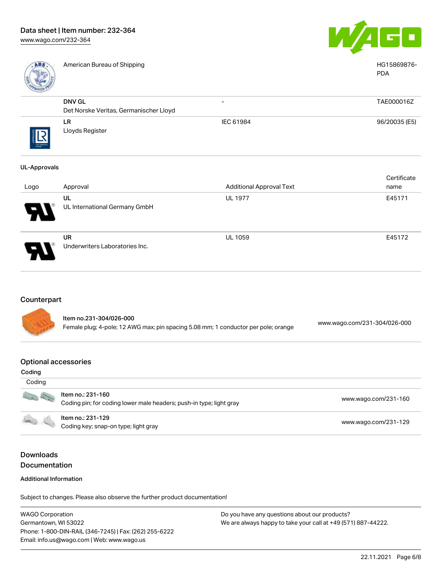

American Bureau of Shipping HG15869876-



|                        |                                        |                          | <b>PDA</b>    |
|------------------------|----------------------------------------|--------------------------|---------------|
|                        | DNV GL                                 | $\overline{\phantom{0}}$ | TAE000016Z    |
|                        | Det Norske Veritas, Germanischer Lloyd |                          |               |
|                        | LR                                     | IEC 61984                | 96/20035 (E5) |
| <u>R</u><br>THE APROVA | Lloyds Register                        |                          |               |
| UL-Approvals           |                                        |                          |               |

|      |                                             |                                 | Certificate |
|------|---------------------------------------------|---------------------------------|-------------|
| Logo | Approval                                    | <b>Additional Approval Text</b> | name        |
| Р.   | UL<br>UL International Germany GmbH         | <b>UL 1977</b>                  | E45171      |
| p    | <b>UR</b><br>Underwriters Laboratories Inc. | <b>UL 1059</b>                  | E45172      |

## **Counterpart**

Item no.231-304/026-000 Female plug; 4-pole; 12 AWG max; pin spacing 5.08 mm; 1 conductor per pole; orange [www.wago.com/231-304/026-000](https://www.wago.com/231-304/026-000)

#### Optional accessories

| Coding<br>Coding |                                                                                                                                  |                      |
|------------------|----------------------------------------------------------------------------------------------------------------------------------|----------------------|
| Sept 1979        | Item no.: 231-160                                                                                                                | www.wago.com/231-160 |
|                  | Coding pin; for coding lower male headers; push-in type; light gray<br>Item no.: 231-129<br>Coding key; snap-on type; light gray | www.wago.com/231-129 |

# Downloads Documentation

#### Additional Information

Subject to changes. Please also observe the further product documentation!

WAGO Corporation Germantown, WI 53022 Phone: 1-800-DIN-RAIL (346-7245) | Fax: (262) 255-6222 Email: info.us@wago.com | Web: www.wago.us Do you have any questions about our products? We are always happy to take your call at +49 (571) 887-44222.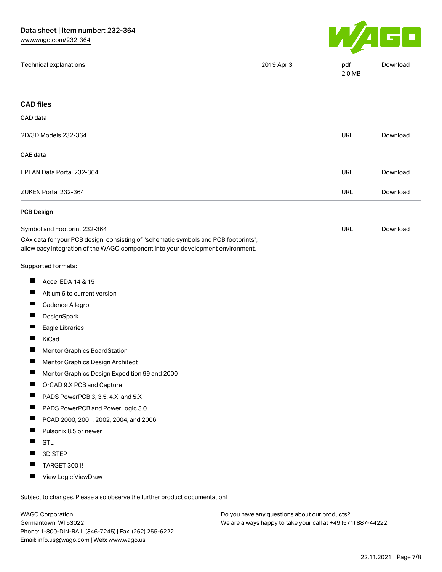

| Technical explanations | 2019 Apr 3 | pdf<br>2.0 MB | Download |
|------------------------|------------|---------------|----------|
|                        |            |               |          |

#### CAD files

| CAD data                  |            |          |
|---------------------------|------------|----------|
| 2D/3D Models 232-364      | <b>URL</b> | Download |
| CAE data                  |            |          |
| EPLAN Data Portal 232-364 | <b>URL</b> | Download |
| ZUKEN Portal 232-364      | <b>URL</b> | Download |
| <b>PCB Design</b>         |            |          |

| Symbol and Footprint 232-364                                                        | URL | Download |
|-------------------------------------------------------------------------------------|-----|----------|
| CAx data for your PCB design, consisting of "schematic symbols and PCB footprints", |     |          |
| allow easy integration of the WAGO component into your development environment.     |     |          |

#### Supported formats:

- $\blacksquare$ Accel EDA 14 & 15
- $\blacksquare$ Altium 6 to current version
- $\blacksquare$ Cadence Allegro
- $\blacksquare$ **DesignSpark**
- $\blacksquare$ Eagle Libraries
- $\blacksquare$ KiCad
- $\blacksquare$ Mentor Graphics BoardStation
- $\blacksquare$ Mentor Graphics Design Architect
- $\blacksquare$ Mentor Graphics Design Expedition 99 and 2000
- $\blacksquare$ OrCAD 9.X PCB and Capture
- П PADS PowerPCB 3, 3.5, 4.X, and 5.X
- П PADS PowerPCB and PowerLogic 3.0
- $\blacksquare$ PCAD 2000, 2001, 2002, 2004, and 2006
- $\blacksquare$ Pulsonix 8.5 or newer
- $\blacksquare$ STL
- $\blacksquare$ 3D STEP
- $\blacksquare$ TARGET 3001!
- $\blacksquare$ View Logic ViewDraw

Subject to changes. Please also observe the further product documentation!

WAGO Corporation Germantown, WI 53022 Phone: 1-800-DIN-RAIL (346-7245) | Fax: (262) 255-6222 Email: info.us@wago.com | Web: www.wago.us

Do you have any questions about our products? We are always happy to take your call at +49 (571) 887-44222.